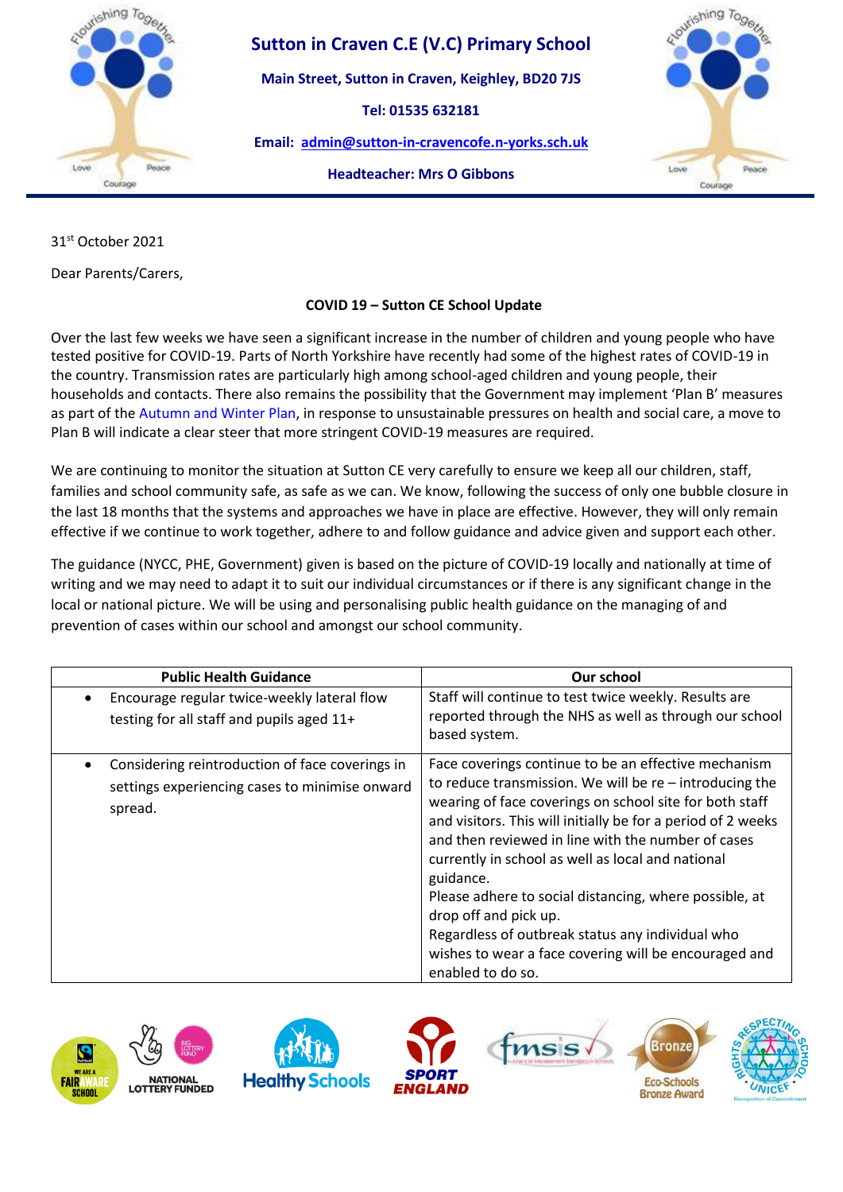

**Main Street, Sutton in Craven, Keighley, BD20 7JS**

**Tel: 01535 632181** 

**Email: [admin@sutton-in-cravencofe.n-yorks.sch.uk](mailto:admin@sutton-in-cravencofe.n-yorks.sch.uk)**

**Headteacher: Mrs O Gibbons**



31st October 2021

Dear Parents/Carers,

### **COVID 19 – Sutton CE School Update**

Over the last few weeks we have seen a significant increase in the number of children and young people who have tested positive for COVID-19. Parts of North Yorkshire have recently had some of the highest rates of COVID-19 in the country. Transmission rates are particularly high among school-aged children and young people, their households and contacts. There also remains the possibility that the Government may implement 'Plan B' measures as part of the Autumn and Winter Plan, in response to unsustainable pressures on health and social care, a move to Plan B will indicate a clear steer that more stringent COVID-19 measures are required.

We are continuing to monitor the situation at Sutton CE very carefully to ensure we keep all our children, staff, families and school community safe, as safe as we can. We know, following the success of only one bubble closure in the last 18 months that the systems and approaches we have in place are effective. However, they will only remain effective if we continue to work together, adhere to and follow guidance and advice given and support each other.

The guidance (NYCC, PHE, Government) given is based on the picture of COVID-19 locally and nationally at time of writing and we may need to adapt it to suit our individual circumstances or if there is any significant change in the local or national picture. We will be using and personalising public health guidance on the managing of and prevention of cases within our school and amongst our school community.

| <b>Public Health Guidance</b>                                                                                | Our school                                                                                                                                                                                                                                                                                                                                                                                                                                                                                                                                                                                |
|--------------------------------------------------------------------------------------------------------------|-------------------------------------------------------------------------------------------------------------------------------------------------------------------------------------------------------------------------------------------------------------------------------------------------------------------------------------------------------------------------------------------------------------------------------------------------------------------------------------------------------------------------------------------------------------------------------------------|
| Encourage regular twice-weekly lateral flow<br>$\bullet$<br>testing for all staff and pupils aged 11+        | Staff will continue to test twice weekly. Results are<br>reported through the NHS as well as through our school<br>based system.                                                                                                                                                                                                                                                                                                                                                                                                                                                          |
| Considering reintroduction of face coverings in<br>settings experiencing cases to minimise onward<br>spread. | Face coverings continue to be an effective mechanism<br>to reduce transmission. We will be $re$ – introducing the<br>wearing of face coverings on school site for both staff<br>and visitors. This will initially be for a period of 2 weeks<br>and then reviewed in line with the number of cases<br>currently in school as well as local and national<br>guidance.<br>Please adhere to social distancing, where possible, at<br>drop off and pick up.<br>Regardless of outbreak status any individual who<br>wishes to wear a face covering will be encouraged and<br>enabled to do so. |









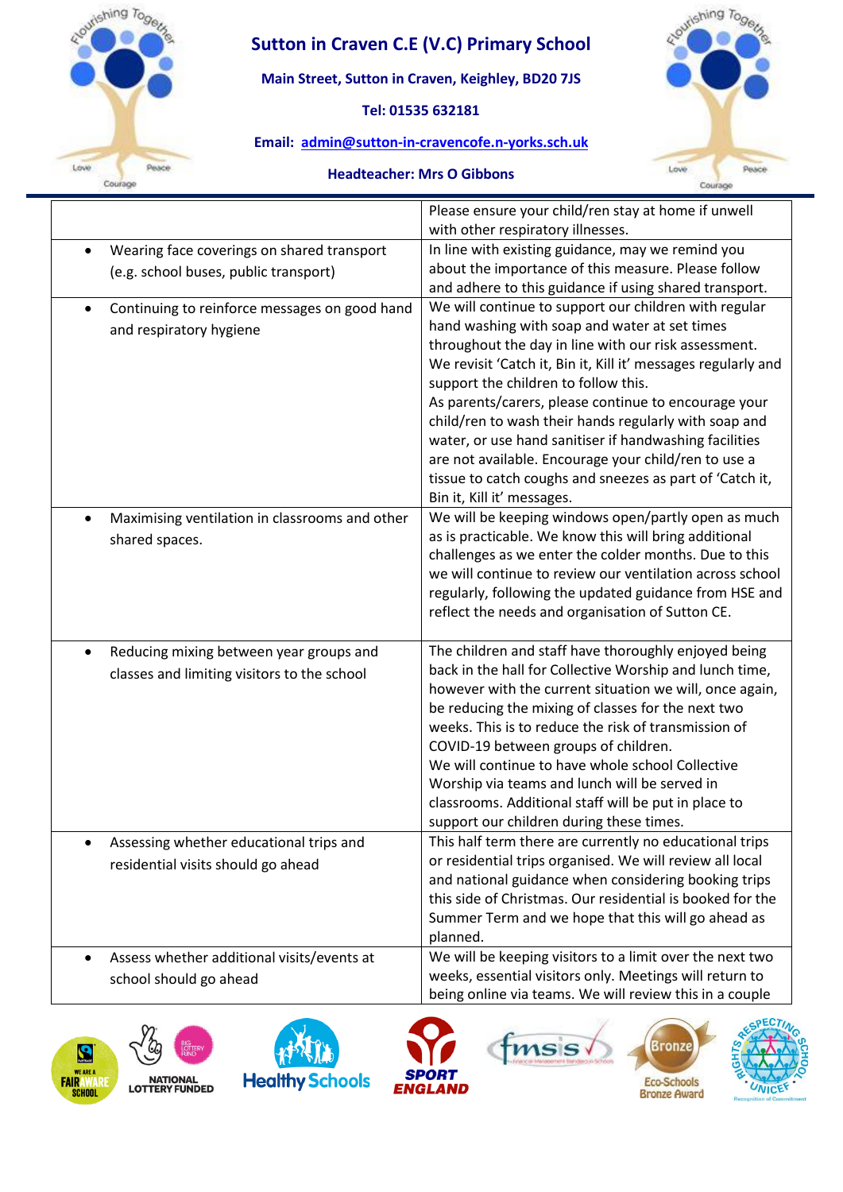

**Main Street, Sutton in Craven, Keighley, BD20 7JS**

#### **Tel: 01535 632181**

#### **Email: [admin@sutton-in-cravencofe.n-yorks.sch.uk](mailto:admin@sutton-in-cravencofe.n-yorks.sch.uk)**



|                                                                                        | Please ensure your child/ren stay at home if unwell<br>with other respiratory illnesses.                                                                                                                                                                                                                                                                                                                                                                                                                                                                                                             |
|----------------------------------------------------------------------------------------|------------------------------------------------------------------------------------------------------------------------------------------------------------------------------------------------------------------------------------------------------------------------------------------------------------------------------------------------------------------------------------------------------------------------------------------------------------------------------------------------------------------------------------------------------------------------------------------------------|
| Wearing face coverings on shared transport<br>(e.g. school buses, public transport)    | In line with existing guidance, may we remind you<br>about the importance of this measure. Please follow<br>and adhere to this guidance if using shared transport.                                                                                                                                                                                                                                                                                                                                                                                                                                   |
| Continuing to reinforce messages on good hand<br>$\bullet$<br>and respiratory hygiene  | We will continue to support our children with regular<br>hand washing with soap and water at set times<br>throughout the day in line with our risk assessment.<br>We revisit 'Catch it, Bin it, Kill it' messages regularly and<br>support the children to follow this.<br>As parents/carers, please continue to encourage your<br>child/ren to wash their hands regularly with soap and<br>water, or use hand sanitiser if handwashing facilities<br>are not available. Encourage your child/ren to use a<br>tissue to catch coughs and sneezes as part of 'Catch it,<br>Bin it, Kill it' messages. |
| Maximising ventilation in classrooms and other<br>shared spaces.                       | We will be keeping windows open/partly open as much<br>as is practicable. We know this will bring additional<br>challenges as we enter the colder months. Due to this<br>we will continue to review our ventilation across school<br>regularly, following the updated guidance from HSE and<br>reflect the needs and organisation of Sutton CE.                                                                                                                                                                                                                                                      |
| Reducing mixing between year groups and<br>classes and limiting visitors to the school | The children and staff have thoroughly enjoyed being<br>back in the hall for Collective Worship and lunch time,<br>however with the current situation we will, once again,<br>be reducing the mixing of classes for the next two<br>weeks. This is to reduce the risk of transmission of<br>COVID-19 between groups of children.<br>We will continue to have whole school Collective<br>Worship via teams and lunch will be served in<br>classrooms. Additional staff will be put in place to<br>support our children during these times.                                                            |
| Assessing whether educational trips and<br>residential visits should go ahead          | This half term there are currently no educational trips<br>or residential trips organised. We will review all local<br>and national guidance when considering booking trips<br>this side of Christmas. Our residential is booked for the<br>Summer Term and we hope that this will go ahead as<br>planned.                                                                                                                                                                                                                                                                                           |
| Assess whether additional visits/events at<br>school should go ahead                   | We will be keeping visitors to a limit over the next two<br>weeks, essential visitors only. Meetings will return to<br>being online via teams. We will review this in a couple                                                                                                                                                                                                                                                                                                                                                                                                                       |











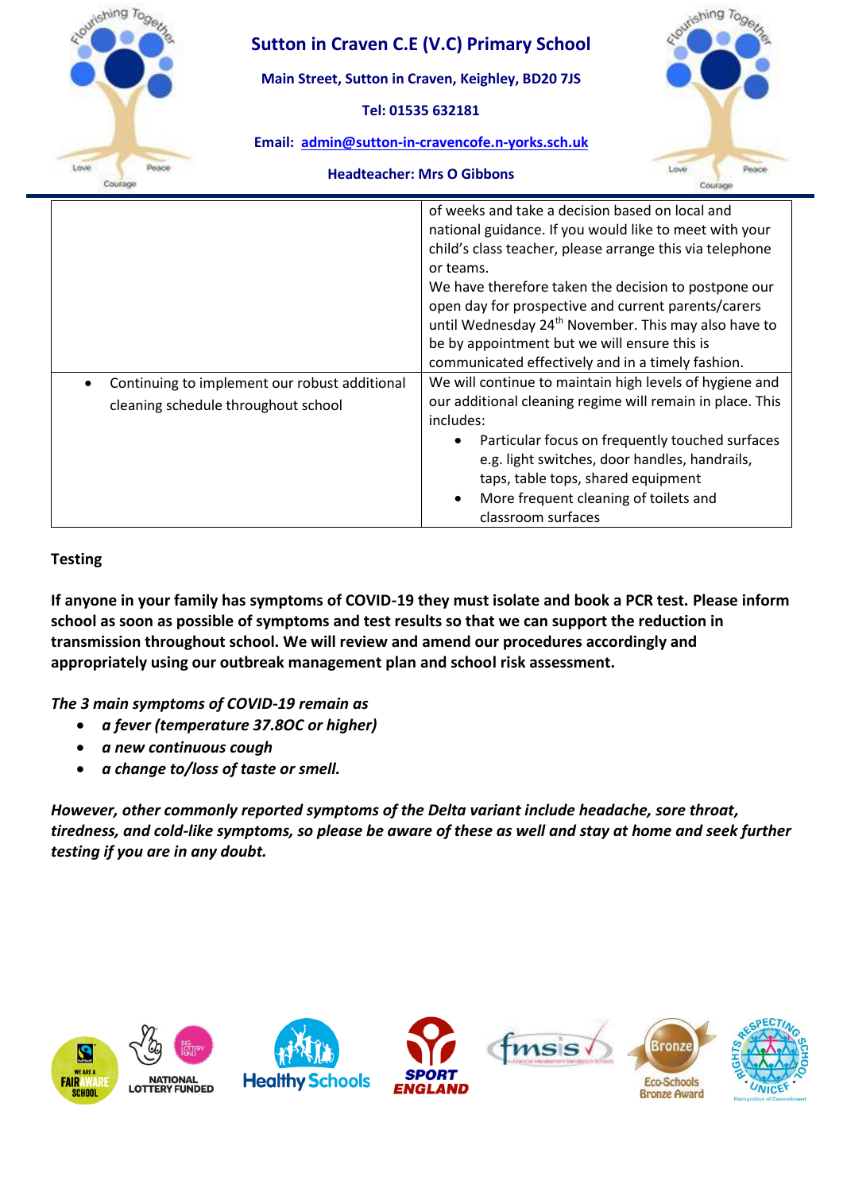

**Main Street, Sutton in Craven, Keighley, BD20 7JS**

#### **Tel: 01535 632181**

#### **Email: [admin@sutton-in-cravencofe.n-yorks.sch.uk](mailto:admin@sutton-in-cravencofe.n-yorks.sch.uk)**



#### **Headteacher: Mrs O Gibbons**

|                                                                                      | of weeks and take a decision based on local and<br>national guidance. If you would like to meet with your<br>child's class teacher, please arrange this via telephone<br>or teams.<br>We have therefore taken the decision to postpone our<br>open day for prospective and current parents/carers<br>until Wednesday 24 <sup>th</sup> November. This may also have to<br>be by appointment but we will ensure this is<br>communicated effectively and in a timely fashion. |
|--------------------------------------------------------------------------------------|----------------------------------------------------------------------------------------------------------------------------------------------------------------------------------------------------------------------------------------------------------------------------------------------------------------------------------------------------------------------------------------------------------------------------------------------------------------------------|
| Continuing to implement our robust additional<br>cleaning schedule throughout school | We will continue to maintain high levels of hygiene and<br>our additional cleaning regime will remain in place. This<br>includes:<br>Particular focus on frequently touched surfaces<br>$\bullet$<br>e.g. light switches, door handles, handrails,<br>taps, table tops, shared equipment<br>More frequent cleaning of toilets and<br>$\bullet$<br>classroom surfaces                                                                                                       |

#### **Testing**

**If anyone in your family has symptoms of COVID-19 they must isolate and book a PCR test. Please inform school as soon as possible of symptoms and test results so that we can support the reduction in transmission throughout school. We will review and amend our procedures accordingly and appropriately using our outbreak management plan and school risk assessment.** 

*The 3 main symptoms of COVID-19 remain as*

- *a fever (temperature 37.8OC or higher)*
- *a new continuous cough*
- *a change to/loss of taste or smell.*

*However, other commonly reported symptoms of the Delta variant include headache, sore throat, tiredness, and cold-like symptoms, so please be aware of these as well and stay at home and seek further testing if you are in any doubt.*